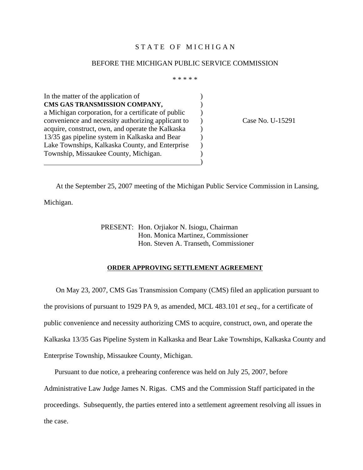## STATE OF MICHIGAN

#### BEFORE THE MICHIGAN PUBLIC SERVICE COMMISSION

\* \* \* \* \*

In the matter of the application of  $\qquad \qquad$  ) **CMS GAS TRANSMISSION COMPANY,** ) a Michigan corporation, for a certificate of public ) convenience and necessity authorizing applicant to ) Case No. U-15291 acquire, construct, own, and operate the Kalkaska  $\qquad)$ 13/35 gas pipeline system in Kalkaska and Bear ) Lake Townships, Kalkaska County, and Enterprise (b) Township, Missaukee County, Michigan.  $\overline{\phantom{a}}$ 

At the September 25, 2007 meeting of the Michigan Public Service Commission in Lansing,

Michigan.

PRESENT: Hon. Orjiakor N. Isiogu, Chairman Hon. Monica Martinez, Commissioner Hon. Steven A. Transeth, Commissioner

### **ORDER APPROVING SETTLEMENT AGREEMENT**

On May 23, 2007, CMS Gas Transmission Company (CMS) filed an application pursuant to the provisions of pursuant to 1929 PA 9, as amended, MCL 483.101 *et seq*., for a certificate of public convenience and necessity authorizing CMS to acquire, construct, own, and operate the Kalkaska 13/35 Gas Pipeline System in Kalkaska and Bear Lake Townships, Kalkaska County and Enterprise Township, Missaukee County, Michigan.

 Pursuant to due notice, a prehearing conference was held on July 25, 2007, before Administrative Law Judge James N. Rigas. CMS and the Commission Staff participated in the proceedings. Subsequently, the parties entered into a settlement agreement resolving all issues in the case.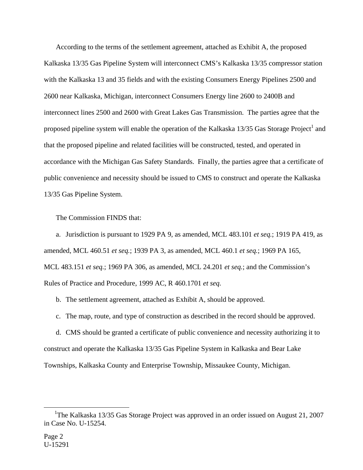According to the terms of the settlement agreement, attached as Exhibit A, the proposed Kalkaska 13/35 Gas Pipeline System will interconnect CMS's Kalkaska 13/35 compressor station with the Kalkaska 13 and 35 fields and with the existing Consumers Energy Pipelines 2500 and 2600 near Kalkaska, Michigan, interconnect Consumers Energy line 2600 to 2400B and interconnect lines 2500 and 2600 with Great Lakes Gas Transmission. The parties agree that the proposed pipeline system will enable the operation of the Kalkaska  $13/35$  Gas Storage Project<sup>1</sup> and that the proposed pipeline and related facilities will be constructed, tested, and operated in accordance with the Michigan Gas Safety Standards. Finally, the parties agree that a certificate of public convenience and necessity should be issued to CMS to construct and operate the Kalkaska 13/35 Gas Pipeline System.

The Commission FINDS that:

 a. Jurisdiction is pursuant to 1929 PA 9, as amended, MCL 483.101 *et seq.*; 1919 PA 419, as amended, MCL 460.51 *et seq.*; 1939 PA 3, as amended, MCL 460.1 *et seq.*; 1969 PA 165, MCL 483.151 *et seq.*; 1969 PA 306, as amended, MCL 24.201 *et seq.*; and the Commission's Rules of Practice and Procedure, 1999 AC, R 460.1701 *et seq.* 

b. The settlement agreement, attached as Exhibit A, should be approved.

c. The map, route, and type of construction as described in the record should be approved.

 d. CMS should be granted a certificate of public convenience and necessity authorizing it to construct and operate the Kalkaska 13/35 Gas Pipeline System in Kalkaska and Bear Lake Townships, Kalkaska County and Enterprise Township, Missaukee County, Michigan.

 <sup>1</sup> The Kalkaska 13/35 Gas Storage Project was approved in an order issued on August 21, 2007 in Case No. U-15254.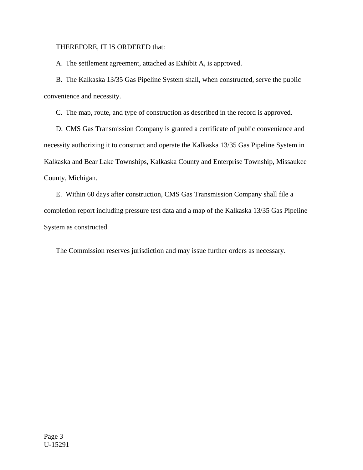## THEREFORE, IT IS ORDERED that:

A. The settlement agreement, attached as Exhibit A, is approved.

 B. The Kalkaska 13/35 Gas Pipeline System shall, when constructed, serve the public convenience and necessity.

C. The map, route, and type of construction as described in the record is approved.

 D. CMS Gas Transmission Company is granted a certificate of public convenience and necessity authorizing it to construct and operate the Kalkaska 13/35 Gas Pipeline System in Kalkaska and Bear Lake Townships, Kalkaska County and Enterprise Township, Missaukee County, Michigan.

 E. Within 60 days after construction, CMS Gas Transmission Company shall file a completion report including pressure test data and a map of the Kalkaska 13/35 Gas Pipeline System as constructed.

The Commission reserves jurisdiction and may issue further orders as necessary.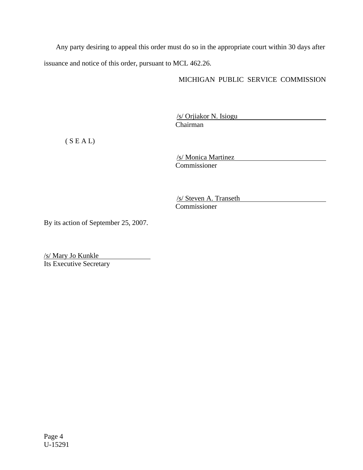Any party desiring to appeal this order must do so in the appropriate court within 30 days after issuance and notice of this order, pursuant to MCL 462.26.

# MICHIGAN PUBLIC SERVICE COMMISSION

/s/ Orjiakor N. Isiogu Chairman

 $(S E A L)$ 

/s/ Monica Martinez Commissioner

/s/ Steven A. Transeth Commissioner

By its action of September 25, 2007.

/s/ Mary Jo Kunkle Its Executive Secretary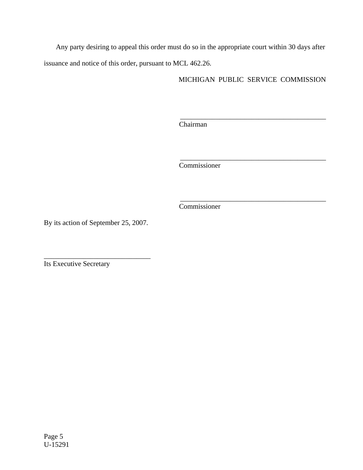Any party desiring to appeal this order must do so in the appropriate court within 30 days after issuance and notice of this order, pursuant to MCL 462.26.

MICHIGAN PUBLIC SERVICE COMMISSION

 $\frac{1}{2}$  , and the set of the set of the set of the set of the set of the set of the set of the set of the set of the set of the set of the set of the set of the set of the set of the set of the set of the set of the set

\_\_\_\_\_\_\_\_\_\_\_\_\_\_\_\_\_\_\_\_\_\_\_\_\_\_\_\_\_\_\_\_\_\_\_\_\_\_\_\_\_

\_\_\_\_\_\_\_\_\_\_\_\_\_\_\_\_\_\_\_\_\_\_\_\_\_\_\_\_\_\_\_\_\_\_\_\_\_\_\_\_\_

Chairman

Commissioner

Commissioner

By its action of September 25, 2007.

\_\_\_\_\_\_\_\_\_\_\_\_\_\_\_\_\_\_\_\_\_\_\_\_\_\_\_\_\_\_

Its Executive Secretary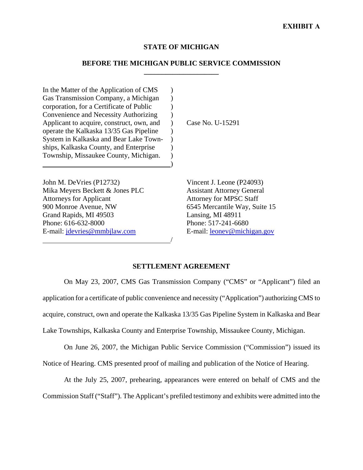# **STATE OF MICHIGAN**

# **BEFORE THE MICHIGAN PUBLIC SERVICE COMMISSION \_\_\_\_\_\_\_\_\_\_\_\_\_\_\_\_\_\_\_\_\_**

In the Matter of the Application of CMS  $\qquad$  ) Gas Transmission Company, a Michigan (b) corporation, for a Certificate of Public ) Convenience and Necessity Authorizing ) Applicant to acquire, construct, own, and ) operate the Kalkaska 13/35 Gas Pipeline ) System in Kalkaska and Bear Lake Town- ) ships, Kalkaska County, and Enterprise Township, Missaukee County, Michigan. )

 $\hspace{1.5cm}$ ) and  $\hspace{1.5cm}$  and  $\hspace{1.5cm}$  and  $\hspace{1.5cm}$ 

/

John M. DeVries (P12732) Mika Meyers Beckett & Jones PLC Attorneys for Applicant 900 Monroe Avenue, NW Grand Rapids, MI 49503 Phone: 616-632-8000 E-mail: jdevries@mmbjlaw.com

Case No. U-15291

Vincent J. Leone (P24093) Assistant Attorney General Attorney for MPSC Staff 6545 Mercantile Way, Suite 15 Lansing, MI 48911 Phone: 517-241-6680 E-mail: leonev@michigan.gov

### **SETTLEMENT AGREEMENT**

On May 23, 2007, CMS Gas Transmission Company ("CMS" or "Applicant") filed an application for a certificate of public convenience and necessity ("Application") authorizing CMS to acquire, construct, own and operate the Kalkaska 13/35 Gas Pipeline System in Kalkaska and Bear Lake Townships, Kalkaska County and Enterprise Township, Missaukee County, Michigan.

On June 26, 2007, the Michigan Public Service Commission ("Commission") issued its Notice of Hearing. CMS presented proof of mailing and publication of the Notice of Hearing.

At the July 25, 2007, prehearing, appearances were entered on behalf of CMS and the Commission Staff ("Staff"). The Applicant's prefiled testimony and exhibits were admitted into the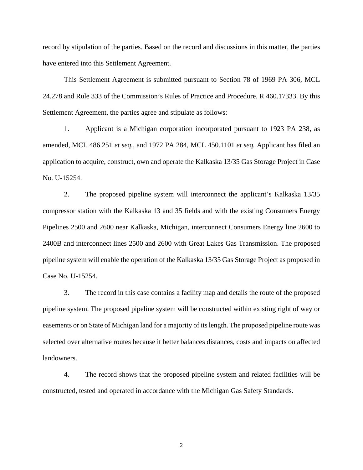record by stipulation of the parties. Based on the record and discussions in this matter, the parties have entered into this Settlement Agreement.

This Settlement Agreement is submitted pursuant to Section 78 of 1969 PA 306, MCL 24.278 and Rule 333 of the Commission's Rules of Practice and Procedure, R 460.17333. By this Settlement Agreement, the parties agree and stipulate as follows:

1. Applicant is a Michigan corporation incorporated pursuant to 1923 PA 238, as amended, MCL 486.251 *et seq.*, and 1972 PA 284, MCL 450.1101 *et seq.* Applicant has filed an application to acquire, construct, own and operate the Kalkaska 13/35 Gas Storage Project in Case No. U-15254.

2. The proposed pipeline system will interconnect the applicant's Kalkaska 13/35 compressor station with the Kalkaska 13 and 35 fields and with the existing Consumers Energy Pipelines 2500 and 2600 near Kalkaska, Michigan, interconnect Consumers Energy line 2600 to 2400B and interconnect lines 2500 and 2600 with Great Lakes Gas Transmission. The proposed pipeline system will enable the operation of the Kalkaska 13/35 Gas Storage Project as proposed in Case No. U-15254.

3. The record in this case contains a facility map and details the route of the proposed pipeline system. The proposed pipeline system will be constructed within existing right of way or easements or on State of Michigan land for a majority of its length. The proposed pipeline route was selected over alternative routes because it better balances distances, costs and impacts on affected landowners.

4. The record shows that the proposed pipeline system and related facilities will be constructed, tested and operated in accordance with the Michigan Gas Safety Standards.

2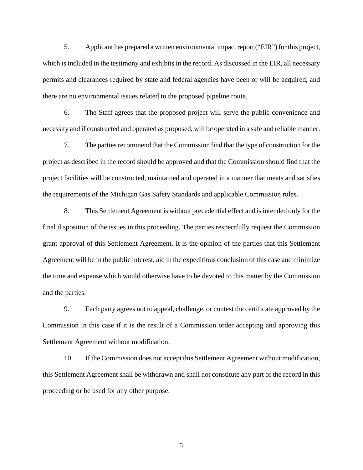5. Applicant has prepared a written environmental impact report ("EIR") for this project, which is included in the testimony and exhibits in the record. As discussed in the EIR, all necessary permits and clearances required by state and federal agencies have been or will be acquired, and there are no environmental issues related to the proposed pipeline route.

6. The Staff agrees that the proposed project will serve the public convenience and necessity and if constructed and operated as proposed, will be operated in a safe and reliable manner.

7. The parties recommend that the Commission find that the type of construction for the project as described in the record should be approved and that the Commission should find that the project facilities will be constructed, maintained and operated in a manner that meets and satisfies the requirements of the Michigan Gas Safety Standards and applicable Commission rules.

8. This Settlement Agreement is without precedential effect and is intended only for the final disposition of the issues in this proceeding. The parties respectfully request the Commission grant approval of this Settlement Agreement. It is the opinion of the parties that this Settlement Agreement will be in the public interest, aid in the expeditious conclusion of this case and minimize the time and expense which would otherwise have to be devoted to this matter by the Commission and the parties.

9. Each party agrees not to appeal, challenge, or contest the certificate approved by the Commission in this case if it is the result of a Commission order accepting and approving this Settlement Agreement without modification.

10. If the Commission does not accept this Settlement Agreement without modification, this Settlement Agreement shall be withdrawn and shall not constitute any part of the record in this proceeding or be used for any other purpose.

3